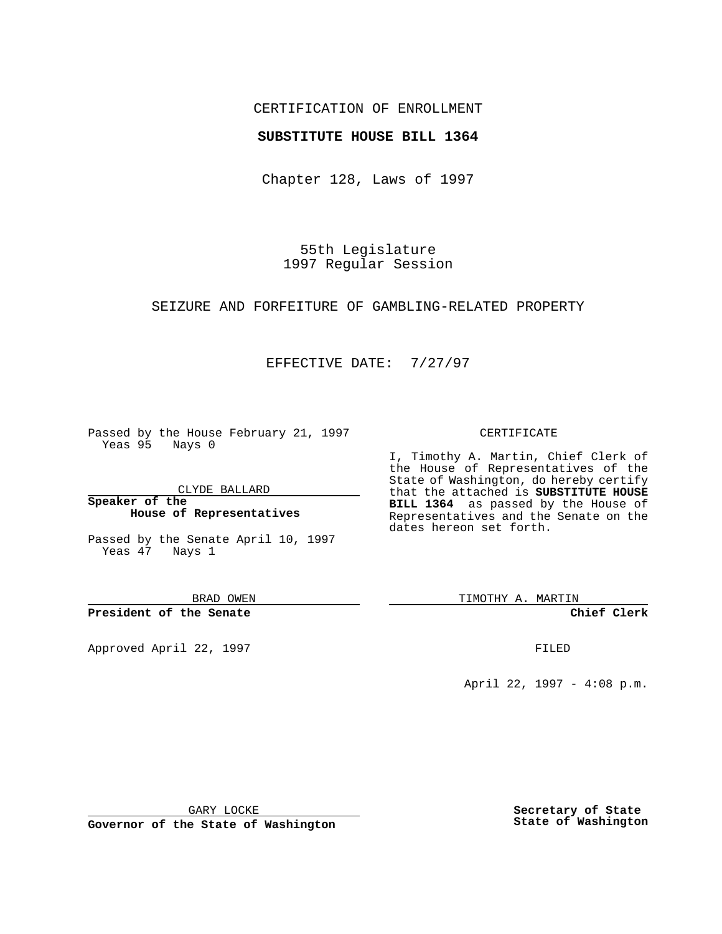## CERTIFICATION OF ENROLLMENT

## **SUBSTITUTE HOUSE BILL 1364**

Chapter 128, Laws of 1997

55th Legislature 1997 Regular Session

### SEIZURE AND FORFEITURE OF GAMBLING-RELATED PROPERTY

# EFFECTIVE DATE: 7/27/97

Passed by the House February 21, 1997 Yeas 95 Nays 0

CLYDE BALLARD

**Speaker of the House of Representatives**

Passed by the Senate April 10, 1997 Yeas 47 Nays 1

BRAD OWEN

**President of the Senate**

Approved April 22, 1997 **FILED** 

### CERTIFICATE

I, Timothy A. Martin, Chief Clerk of the House of Representatives of the State of Washington, do hereby certify that the attached is **SUBSTITUTE HOUSE BILL 1364** as passed by the House of Representatives and the Senate on the dates hereon set forth.

TIMOTHY A. MARTIN

**Chief Clerk**

April 22, 1997 - 4:08 p.m.

GARY LOCKE

**Governor of the State of Washington**

**Secretary of State State of Washington**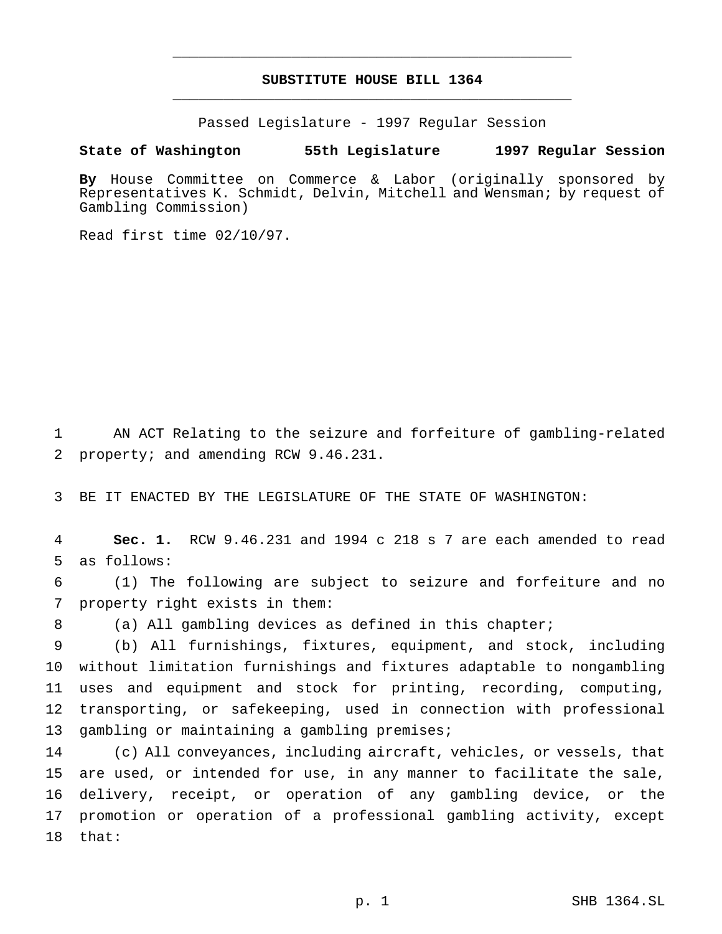# **SUBSTITUTE HOUSE BILL 1364** \_\_\_\_\_\_\_\_\_\_\_\_\_\_\_\_\_\_\_\_\_\_\_\_\_\_\_\_\_\_\_\_\_\_\_\_\_\_\_\_\_\_\_\_\_\_\_

\_\_\_\_\_\_\_\_\_\_\_\_\_\_\_\_\_\_\_\_\_\_\_\_\_\_\_\_\_\_\_\_\_\_\_\_\_\_\_\_\_\_\_\_\_\_\_

Passed Legislature - 1997 Regular Session

### **State of Washington 55th Legislature 1997 Regular Session**

**By** House Committee on Commerce & Labor (originally sponsored by Representatives K. Schmidt, Delvin, Mitchell and Wensman; by request of Gambling Commission)

Read first time 02/10/97.

 AN ACT Relating to the seizure and forfeiture of gambling-related property; and amending RCW 9.46.231.

BE IT ENACTED BY THE LEGISLATURE OF THE STATE OF WASHINGTON:

 **Sec. 1.** RCW 9.46.231 and 1994 c 218 s 7 are each amended to read as follows:

 (1) The following are subject to seizure and forfeiture and no property right exists in them:

(a) All gambling devices as defined in this chapter;

 (b) All furnishings, fixtures, equipment, and stock, including without limitation furnishings and fixtures adaptable to nongambling uses and equipment and stock for printing, recording, computing, transporting, or safekeeping, used in connection with professional 13 gambling or maintaining a gambling premises;

 (c) All conveyances, including aircraft, vehicles, or vessels, that are used, or intended for use, in any manner to facilitate the sale, delivery, receipt, or operation of any gambling device, or the promotion or operation of a professional gambling activity, except that: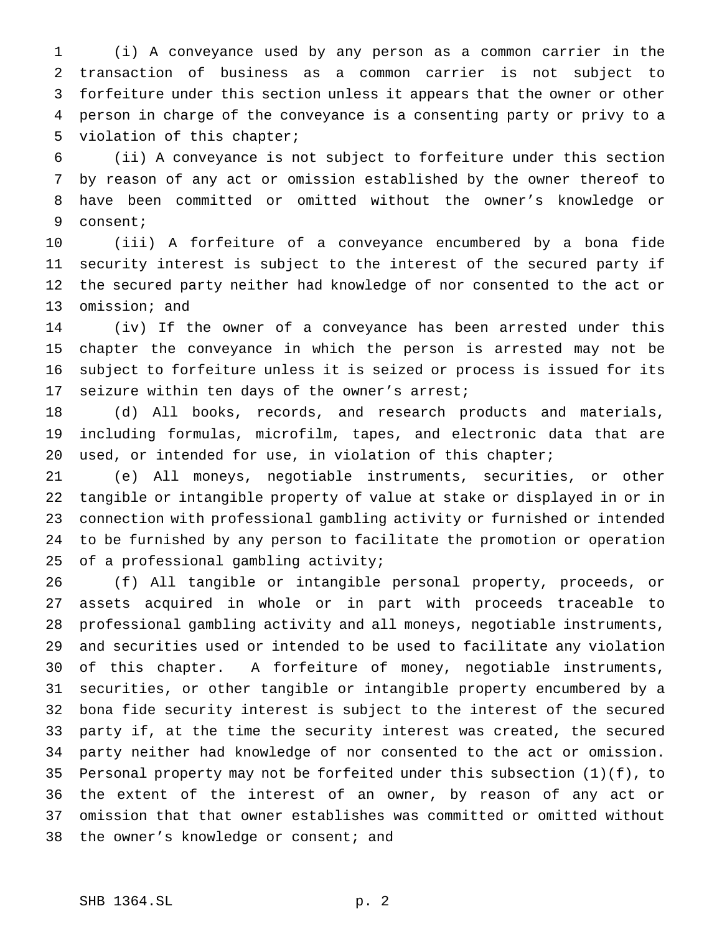(i) A conveyance used by any person as a common carrier in the transaction of business as a common carrier is not subject to forfeiture under this section unless it appears that the owner or other person in charge of the conveyance is a consenting party or privy to a violation of this chapter;

 (ii) A conveyance is not subject to forfeiture under this section by reason of any act or omission established by the owner thereof to have been committed or omitted without the owner's knowledge or consent;

 (iii) A forfeiture of a conveyance encumbered by a bona fide security interest is subject to the interest of the secured party if the secured party neither had knowledge of nor consented to the act or omission; and

 (iv) If the owner of a conveyance has been arrested under this chapter the conveyance in which the person is arrested may not be subject to forfeiture unless it is seized or process is issued for its 17 seizure within ten days of the owner's arrest;

 (d) All books, records, and research products and materials, including formulas, microfilm, tapes, and electronic data that are used, or intended for use, in violation of this chapter;

 (e) All moneys, negotiable instruments, securities, or other tangible or intangible property of value at stake or displayed in or in connection with professional gambling activity or furnished or intended to be furnished by any person to facilitate the promotion or operation of a professional gambling activity;

 (f) All tangible or intangible personal property, proceeds, or assets acquired in whole or in part with proceeds traceable to professional gambling activity and all moneys, negotiable instruments, and securities used or intended to be used to facilitate any violation of this chapter. A forfeiture of money, negotiable instruments, securities, or other tangible or intangible property encumbered by a bona fide security interest is subject to the interest of the secured party if, at the time the security interest was created, the secured party neither had knowledge of nor consented to the act or omission. Personal property may not be forfeited under this subsection (1)(f), to the extent of the interest of an owner, by reason of any act or omission that that owner establishes was committed or omitted without 38 the owner's knowledge or consent; and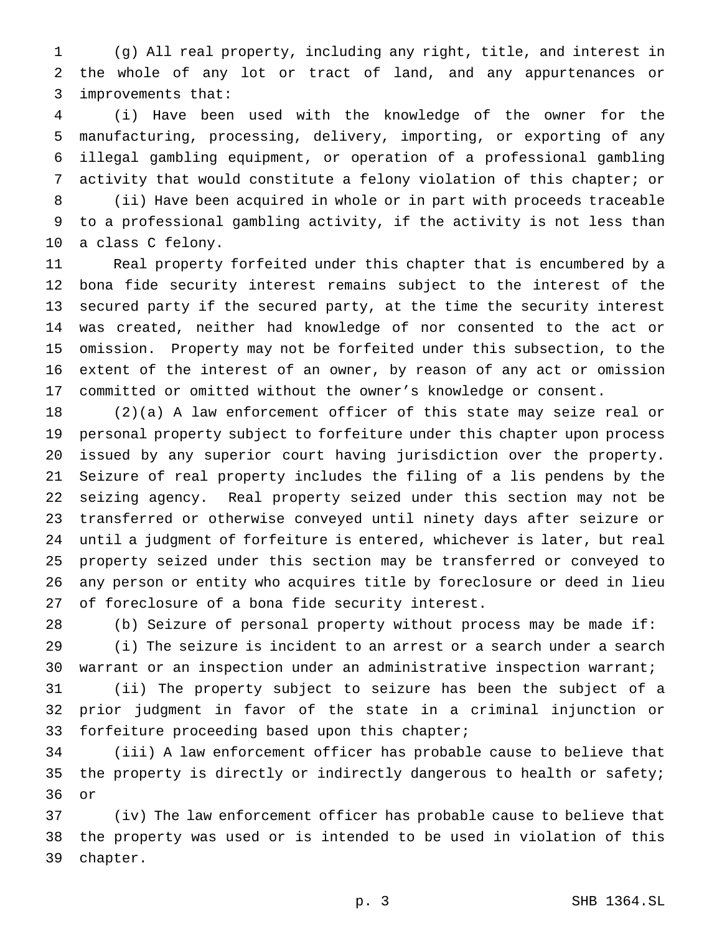(g) All real property, including any right, title, and interest in the whole of any lot or tract of land, and any appurtenances or improvements that:

 (i) Have been used with the knowledge of the owner for the manufacturing, processing, delivery, importing, or exporting of any illegal gambling equipment, or operation of a professional gambling activity that would constitute a felony violation of this chapter; or

 (ii) Have been acquired in whole or in part with proceeds traceable to a professional gambling activity, if the activity is not less than a class C felony.

 Real property forfeited under this chapter that is encumbered by a bona fide security interest remains subject to the interest of the secured party if the secured party, at the time the security interest was created, neither had knowledge of nor consented to the act or omission. Property may not be forfeited under this subsection, to the extent of the interest of an owner, by reason of any act or omission committed or omitted without the owner's knowledge or consent.

 (2)(a) A law enforcement officer of this state may seize real or personal property subject to forfeiture under this chapter upon process issued by any superior court having jurisdiction over the property. Seizure of real property includes the filing of a lis pendens by the seizing agency. Real property seized under this section may not be transferred or otherwise conveyed until ninety days after seizure or until a judgment of forfeiture is entered, whichever is later, but real property seized under this section may be transferred or conveyed to any person or entity who acquires title by foreclosure or deed in lieu of foreclosure of a bona fide security interest.

 (b) Seizure of personal property without process may be made if: (i) The seizure is incident to an arrest or a search under a search warrant or an inspection under an administrative inspection warrant;

 (ii) The property subject to seizure has been the subject of a prior judgment in favor of the state in a criminal injunction or forfeiture proceeding based upon this chapter;

 (iii) A law enforcement officer has probable cause to believe that 35 the property is directly or indirectly dangerous to health or safety; or

 (iv) The law enforcement officer has probable cause to believe that the property was used or is intended to be used in violation of this chapter.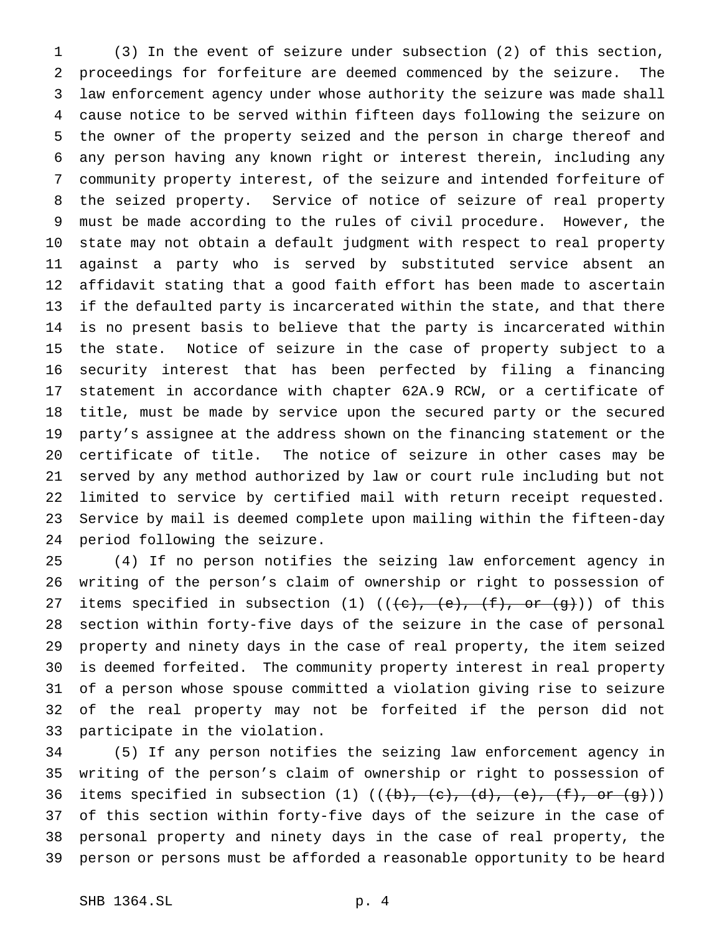(3) In the event of seizure under subsection (2) of this section, proceedings for forfeiture are deemed commenced by the seizure. The law enforcement agency under whose authority the seizure was made shall cause notice to be served within fifteen days following the seizure on the owner of the property seized and the person in charge thereof and any person having any known right or interest therein, including any community property interest, of the seizure and intended forfeiture of the seized property. Service of notice of seizure of real property must be made according to the rules of civil procedure. However, the state may not obtain a default judgment with respect to real property against a party who is served by substituted service absent an affidavit stating that a good faith effort has been made to ascertain if the defaulted party is incarcerated within the state, and that there is no present basis to believe that the party is incarcerated within the state. Notice of seizure in the case of property subject to a security interest that has been perfected by filing a financing statement in accordance with chapter 62A.9 RCW, or a certificate of title, must be made by service upon the secured party or the secured party's assignee at the address shown on the financing statement or the certificate of title. The notice of seizure in other cases may be served by any method authorized by law or court rule including but not limited to service by certified mail with return receipt requested. Service by mail is deemed complete upon mailing within the fifteen-day period following the seizure.

 (4) If no person notifies the seizing law enforcement agency in writing of the person's claim of ownership or right to possession of 27 items specified in subsection (1)  $((e), (e), (f), or (g))$  of this section within forty-five days of the seizure in the case of personal property and ninety days in the case of real property, the item seized is deemed forfeited. The community property interest in real property of a person whose spouse committed a violation giving rise to seizure of the real property may not be forfeited if the person did not participate in the violation.

 (5) If any person notifies the seizing law enforcement agency in writing of the person's claim of ownership or right to possession of 36 items specified in subsection (1)  $((+b), (+c), (d), (+e), (f), or (g)))$  of this section within forty-five days of the seizure in the case of personal property and ninety days in the case of real property, the person or persons must be afforded a reasonable opportunity to be heard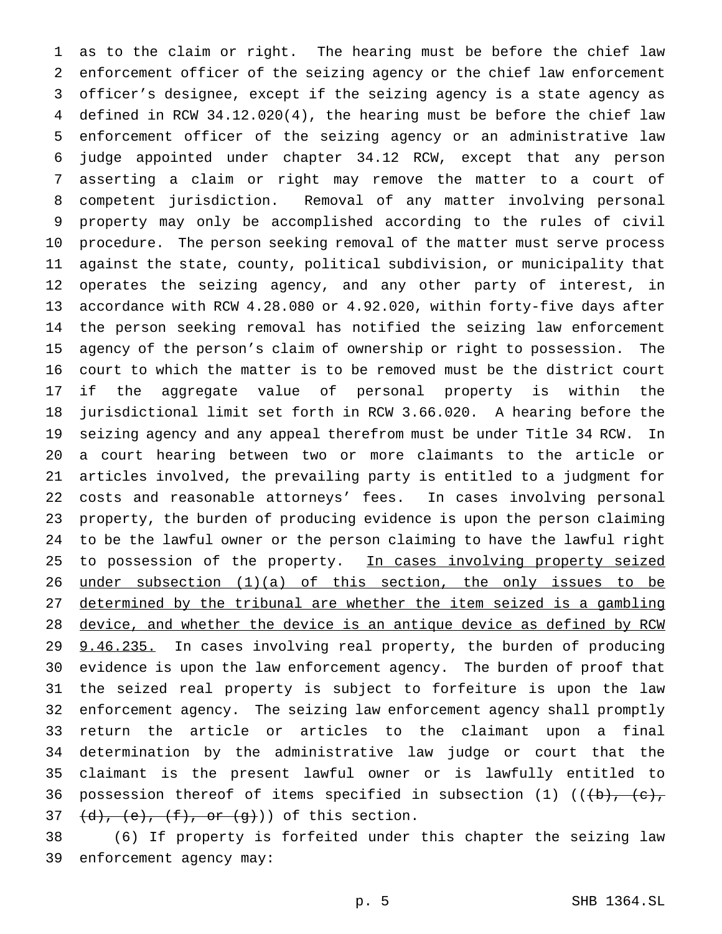as to the claim or right. The hearing must be before the chief law enforcement officer of the seizing agency or the chief law enforcement officer's designee, except if the seizing agency is a state agency as defined in RCW 34.12.020(4), the hearing must be before the chief law enforcement officer of the seizing agency or an administrative law judge appointed under chapter 34.12 RCW, except that any person asserting a claim or right may remove the matter to a court of competent jurisdiction. Removal of any matter involving personal property may only be accomplished according to the rules of civil procedure. The person seeking removal of the matter must serve process against the state, county, political subdivision, or municipality that operates the seizing agency, and any other party of interest, in accordance with RCW 4.28.080 or 4.92.020, within forty-five days after the person seeking removal has notified the seizing law enforcement agency of the person's claim of ownership or right to possession. The court to which the matter is to be removed must be the district court if the aggregate value of personal property is within the jurisdictional limit set forth in RCW 3.66.020. A hearing before the seizing agency and any appeal therefrom must be under Title 34 RCW. In a court hearing between two or more claimants to the article or articles involved, the prevailing party is entitled to a judgment for costs and reasonable attorneys' fees. In cases involving personal property, the burden of producing evidence is upon the person claiming to be the lawful owner or the person claiming to have the lawful right 25 to possession of the property. In cases involving property seized under subsection (1)(a) of this section, the only issues to be determined by the tribunal are whether the item seized is a gambling 28 device, and whether the device is an antique device as defined by RCW 29 9.46.235. In cases involving real property, the burden of producing evidence is upon the law enforcement agency. The burden of proof that the seized real property is subject to forfeiture is upon the law enforcement agency. The seizing law enforcement agency shall promptly return the article or articles to the claimant upon a final determination by the administrative law judge or court that the claimant is the present lawful owner or is lawfully entitled to 36 possession thereof of items specified in subsection (1)  $((+b), -(c),$  $(d)$ ,  $(e)$ ,  $(f)$ , or  $(g)$ )) of this section.

 (6) If property is forfeited under this chapter the seizing law enforcement agency may: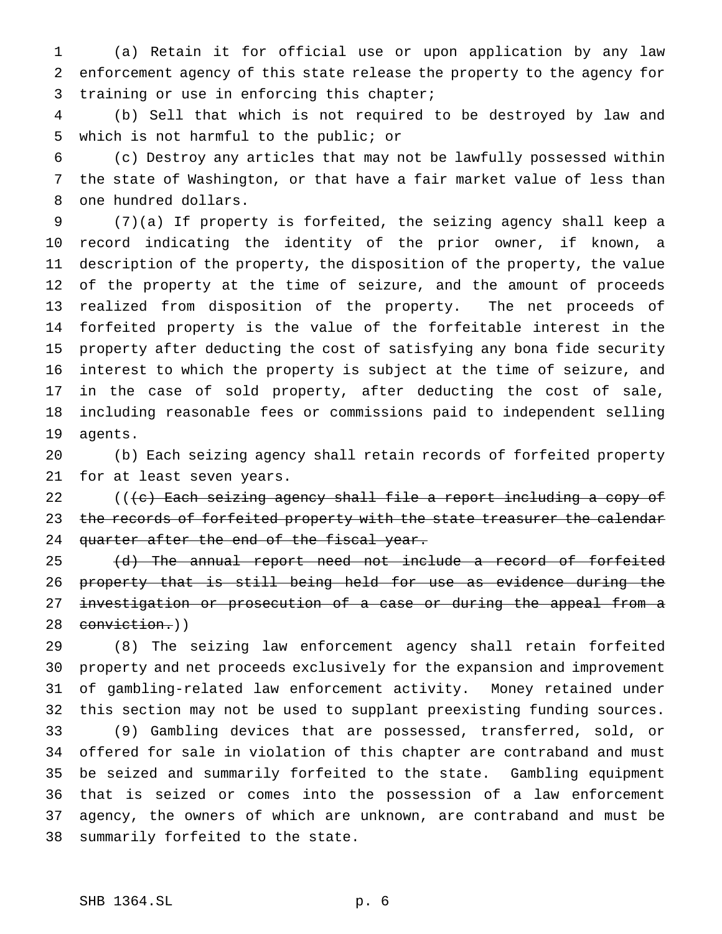(a) Retain it for official use or upon application by any law enforcement agency of this state release the property to the agency for training or use in enforcing this chapter;

 (b) Sell that which is not required to be destroyed by law and which is not harmful to the public; or

 (c) Destroy any articles that may not be lawfully possessed within the state of Washington, or that have a fair market value of less than one hundred dollars.

 (7)(a) If property is forfeited, the seizing agency shall keep a record indicating the identity of the prior owner, if known, a description of the property, the disposition of the property, the value of the property at the time of seizure, and the amount of proceeds realized from disposition of the property. The net proceeds of forfeited property is the value of the forfeitable interest in the property after deducting the cost of satisfying any bona fide security interest to which the property is subject at the time of seizure, and in the case of sold property, after deducting the cost of sale, including reasonable fees or commissions paid to independent selling agents.

 (b) Each seizing agency shall retain records of forfeited property for at least seven years.

22 ((<del>(c) Each seizing agency shall file a report including a copy of</del> 23 the records of forfeited property with the state treasurer the calendar 24 quarter after the end of the fiscal year.

25 (d) The annual report need not include a record of forfeited property that is still being held for use as evidence during the 27 investigation or prosecution of a case or during the appeal from a 28 conviction.))

 (8) The seizing law enforcement agency shall retain forfeited property and net proceeds exclusively for the expansion and improvement of gambling-related law enforcement activity. Money retained under this section may not be used to supplant preexisting funding sources. (9) Gambling devices that are possessed, transferred, sold, or offered for sale in violation of this chapter are contraband and must be seized and summarily forfeited to the state. Gambling equipment that is seized or comes into the possession of a law enforcement agency, the owners of which are unknown, are contraband and must be summarily forfeited to the state.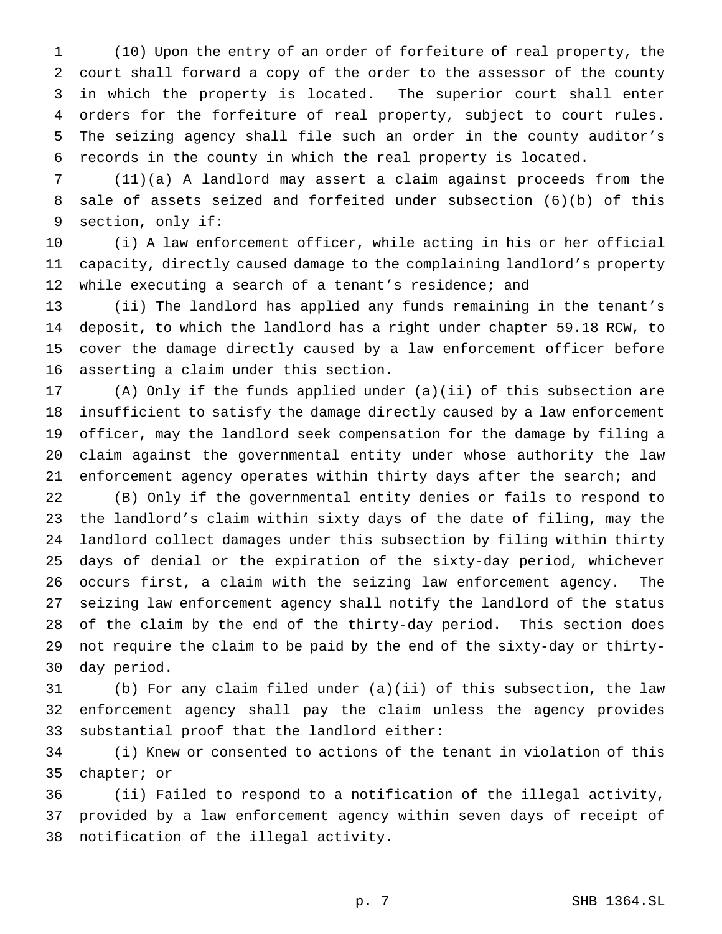(10) Upon the entry of an order of forfeiture of real property, the court shall forward a copy of the order to the assessor of the county in which the property is located. The superior court shall enter orders for the forfeiture of real property, subject to court rules. The seizing agency shall file such an order in the county auditor's records in the county in which the real property is located.

 (11)(a) A landlord may assert a claim against proceeds from the sale of assets seized and forfeited under subsection (6)(b) of this section, only if:

 (i) A law enforcement officer, while acting in his or her official capacity, directly caused damage to the complaining landlord's property while executing a search of a tenant's residence; and

 (ii) The landlord has applied any funds remaining in the tenant's deposit, to which the landlord has a right under chapter 59.18 RCW, to cover the damage directly caused by a law enforcement officer before asserting a claim under this section.

 (A) Only if the funds applied under (a)(ii) of this subsection are insufficient to satisfy the damage directly caused by a law enforcement officer, may the landlord seek compensation for the damage by filing a claim against the governmental entity under whose authority the law enforcement agency operates within thirty days after the search; and

 (B) Only if the governmental entity denies or fails to respond to the landlord's claim within sixty days of the date of filing, may the landlord collect damages under this subsection by filing within thirty days of denial or the expiration of the sixty-day period, whichever occurs first, a claim with the seizing law enforcement agency. The seizing law enforcement agency shall notify the landlord of the status of the claim by the end of the thirty-day period. This section does not require the claim to be paid by the end of the sixty-day or thirty-day period.

 (b) For any claim filed under (a)(ii) of this subsection, the law enforcement agency shall pay the claim unless the agency provides substantial proof that the landlord either:

 (i) Knew or consented to actions of the tenant in violation of this chapter; or

 (ii) Failed to respond to a notification of the illegal activity, provided by a law enforcement agency within seven days of receipt of notification of the illegal activity.